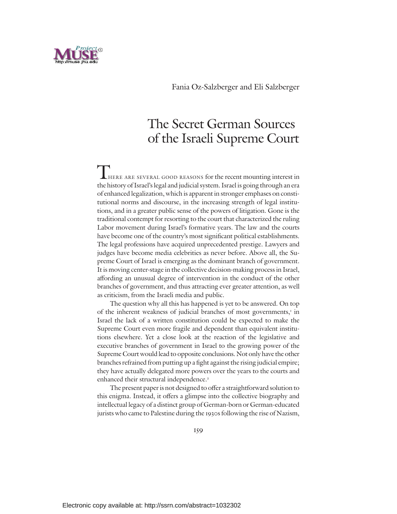

# The Secret German Sources of the Israeli Supreme Court

HERE ARE SEVERAL GOOD REASONS for the recent mounting interest in the history of Israel's legal and judicial system. Israel is going through an era of enhanced legalization, which is apparent in stronger emphases on constitutional norms and discourse, in the increasing strength of legal institutions, and in a greater public sense of the powers of litigation. Gone is the traditional contempt for resorting to the court that characterized the ruling Labor movement during Israel's formative years. The law and the courts have become one of the country's most significant political establishments. The legal professions have acquired unprecedented prestige. Lawyers and judges have become media celebrities as never before. Above all, the Supreme Court of Israel is emerging as the dominant branch of government. It is moving center-stage in the collective decision-making process in Israel, affording an unusual degree of intervention in the conduct of the other branches of government, and thus attracting ever greater attention, as well as criticism, from the Israeli media and public.

The question why all this has happened is yet to be answered. On top of the inherent weakness of judicial branches of most governments, <sup>1</sup> in Israel the lack of a written constitution could be expected to make the Supreme Court even more fragile and dependent than equivalent institutions elsewhere. Yet a close look at the reaction of the legislative and executive branches of government in Israel to the growing power of the Supreme Court would lead to opposite conclusions. Not only have the other branches refrained from putting up a fight against the rising judicial empire; they have actually delegated more powers over the years to the courts and enhanced their structural independence. 2

The present paper is not designed to offer a straightforward solution to this enigma. Instead, it offers a glimpse into the collective biography and intellectual legacy of a distinct group of German-born or German-educated jurists who came to Palestine during the 1930s following the rise of Nazism,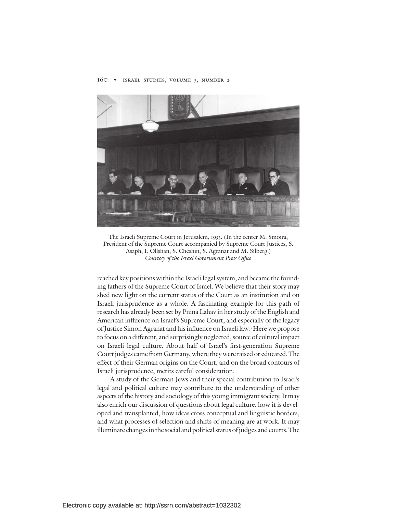

The Israeli Supreme Court in Jerusalem, 1953. (In the center M. Smoira, President of the Supreme Court accompanied by Supreme Court Justices, S. Asaph, I. Ollshan, S. Cheshin, S. Agranat and M. Silberg.) Courtesy of the Israel Government Press Office

reached key positions within the Israeli legal system, and became the founding fathers of the Supreme Court of Israel. We believe that their story may shed new light on the current status of the Court as an institution and on Israeli jurisprudence as a whole. A fascinating example for this path of research has already been set by Pnina Lahav in her study of the English and American influence on Israel's Supreme Court, and especially of the legacy of Justice Simon Agranat and his influence on Israeli law.<sup>3</sup> Here we propose to focus on a different, and surprisingly neglected, source of cultural impact on Israeli legal culture. About half of Israel's first-generation Supreme Court judges came from Germany, where they were raised or educated.The effect of their German origins on the Court, and on the broad contours of Israeli jurisprudence, merits careful consideration.

A study of the German Jews and their special contribution to Israel's legal and political culture may contribute to the understanding of other aspects of the history and sociology of this young immigrant society.It may also enrich our discussion of questions about legal culture, how it is developed and transplanted, how ideas cross conceptual and linguistic borders, and what processes of selection and shifts of meaning are at work. It may illuminate changes in the social and political status of judges and courts. The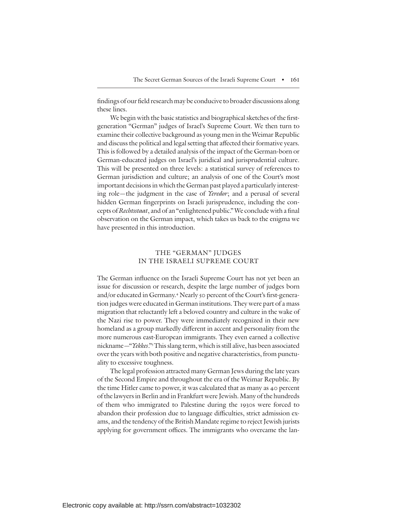findings of our field research may be conducive to broader discussions along these lines.

We begin with the basic statistics and biographical sketches of the firstgeneration "German" judges of Israel's Supreme Court. We then turn to examine their collective background as young men in the Weimar Republic and discuss the political and legal setting that affected their formative years. This is followed by a detailed analysis of the impact of the German-born or German-educated judges on Israel's juridical and jurisprudential culture. This will be presented on three levels: a statistical survey of references to German jurisdiction and culture; an analysis of one of the Court's most important decisions in which the German past played a particularly interesting role—the judgment in the case of Yeredor; and a perusal of several hidden German fingerprints on Israeli jurisprudence, including the concepts of Rechtsstaat, and of an "enlightened public." We conclude with a final observation on the German impact, which takes us back to the enigma we have presented in this introduction.

## THE "GERMAN" JUDGES IN THE ISRAELI SUPREME COURT

The German influence on the Israeli Supreme Court has not yet been an issue for discussion or research, despite the large number of judges born and/or educated in Germany.<sup>4</sup> Nearly 50 percent of the Court's first-generation judges were educated in German institutions. They were part of a mass migration that reluctantly left a beloved country and culture in the wake of the Nazi rise to power. They were immediately recognized in their new homeland as a group markedly different in accent and personality from the more numerous east-European immigrants. They even earned a collective nickname—"Yekkes."<sup>5</sup>This slang term, which is still alive, has been associated over the years with both positive and negative characteristics, from punctuality to excessive toughness.

The legal profession attracted many German Jews during the late years of the Second Empire and throughout the era of the Weimar Republic. By the time Hitler came to power, it was calculated that as many as 40 percent of the lawyersin Berlin and in Frankfurt were Jewish. Many of the hundreds of them who immigrated to Palestine during the 1930s were forced to abandon their profession due to language difficulties, strict admission exams, and the tendency of the British Mandate regime to reject Jewish jurists applying for government offices. The immigrants who overcame the lan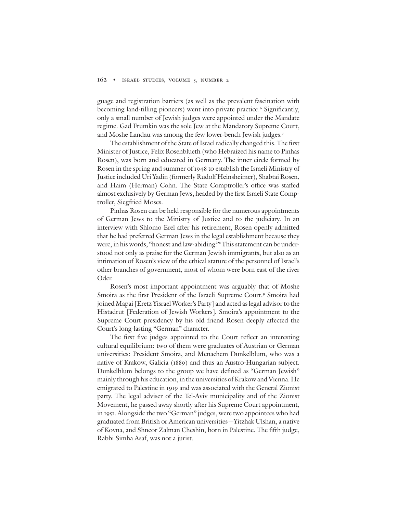guage and registration barriers (as well as the prevalent fascination with becoming land-tilling pioneers) went into private practice.<sup>6</sup> Significantly, only a small number of Jewish judges were appointed under the Mandate regime. Gad Frumkin was the sole Jew at the Mandatory Supreme Court, and Moshe Landau was among the few lower-bench Jewish judges. 7

The establishment of the State of Israel radically changed this. The first Minister of Justice, Felix Rosenblueth (who Hebraized his name to Pinhas Rosen), was born and educated in Germany. The inner circle formed by Rosen in the spring and summer of 1948 to establish the Israeli Ministry of Justice included Uri Yadin (formerly Rudolf Heinsheimer), Shabtai Rosen, and Haim (Herman) Cohn. The State Comptroller's office was staffed almost exclusively by German Jews, headed by the first Israeli State Comptroller, Siegfried Moses.

Pinhas Rosen can be held responsible for the numerous appointments of German Jews to the Ministry of Justice and to the judiciary. In an interview with Shlomo Erel after his retirement, Rosen openly admitted that he had preferred German Jews in the legal establishment because they were, in his words, "honest and law-abiding."<sup>8</sup> This statement can be understood not only as praise for the German Jewish immigrants, but also as an intimation of Rosen's view of the ethical stature of the personnel of Israel's other branches of government, most of whom were born east of the river Oder.

Rosen's most important appointment was arguably that of Moshe Smoira as the first President of the Israeli Supreme Court.<sup>9</sup> Smoira had joined Mapai [Eretz Yisrael Worker's Party] and acted as legal advisor to the Histadrut [Federation of Jewish Workers]. Smoira's appointment to the Supreme Court presidency by his old friend Rosen deeply affected the Court's long-lasting "German" character.

The first five judges appointed to the Court reflect an interesting cultural equilibrium: two of them were graduates of Austrian or German universities: President Smoira, and Menachem Dunkelblum, who was a native of Krakow, Galicia (1889) and thus an Austro-Hungarian subject. Dunkelblum belongs to the group we have defined as "German Jewish" mainly through his education, in the universities of Krakow and Vienna. He emigrated to Palestine in 1919 and was associated with the General Zionist party. The legal adviser of the Tel-Aviv municipality and of the Zionist Movement, he passed away shortly after his Supreme Court appointment, in 1951. Alongside the two "German" judges, were two appointees who had graduated from British or American universities—Yitzhak Ulshan, a native of Kovna, and Shneor Zalman Cheshin, born in Palestine. The fifth judge, Rabbi Simha Asaf, was not a jurist.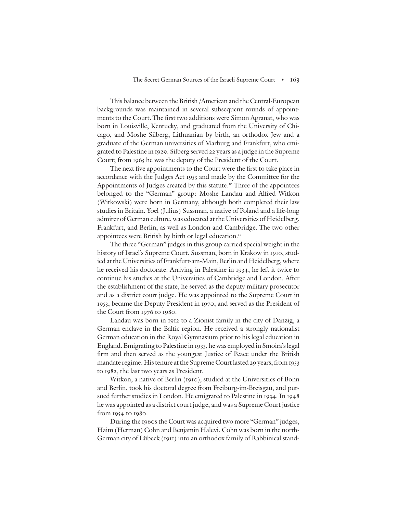This balance between the British /American and the Central-European backgrounds was maintained in several subsequent rounds of appointments to the Court. The first two additions were Simon Agranat, who was born in Louisville, Kentucky, and graduated from the University of Chicago, and Moshe Silberg, Lithuanian by birth, an orthodox Jew and a graduate of the German universities of Marburg and Frankfurt, who emigrated to Palestine in 1929. Silberg served 22 years as a judge in the Supreme Court; from 1965 he was the deputy of the President of the Court.

The next five appointments to the Court were the first to take place in accordance with the Judges Act 1953 and made by the Committee for the Appointments of Judges created by this statute. <sup>10</sup> Three of the appointees belonged to the "German" group: Moshe Landau and Alfred Witkon (Witkowski) were born in Germany, although both completed their law studies in Britain. Yoel (Julius) Sussman, a native of Poland and a life-long admirer of German culture, was educated at the Universities of Heidelberg, Frankfurt, and Berlin, as well as London and Cambridge. The two other appointees were British by birth or legal education."

The three "German" judges in this group carried special weight in the history of Israel's Supreme Court. Sussman, born in Krakow in 1910, studied at the Universities of Frankfurt-am-Main, Berlin and Heidelberg, where he received his doctorate. Arriving in Palestine in 1934, he left it twice to continue his studies at the Universities of Cambridge and London. After the establishment of the state, he served as the deputy military prosecutor and as a district court judge. He was appointed to the Supreme Court in 1953, became the Deputy President in 1970, and served as the President of the Court from 1976 to 1980.

Landau was born in 1912 to a Zionist family in the city of Danzig, a German enclave in the Baltic region. He received a strongly nationalist German education in the Royal Gymnasium prior to his legal education in England. Emigrating to Palestine in 1933, he was employed in Smoira's legal firm and then served as the youngest Justice of Peace under the British mandate regime. His tenure at the Supreme Court lasted 29 years, from 1953 to 1982, the last two years as President.

Witkon, a native of Berlin (1910), studied at the Universities of Bonn and Berlin, took his doctoral degree from Freiburg-im-Breisgau, and pursued further studies in London. He emigrated to Palestine in 1934. In 1948 he was appointed as a district court judge, and was a Supreme Court justice from 1954 to 1980.

During the 1960s the Court was acquired two more "German" judges, Haim (Herman) Cohn and Benjamin Halevi. Cohn was born in the north-German city of Lübeck (1911) into an orthodox family of Rabbinical stand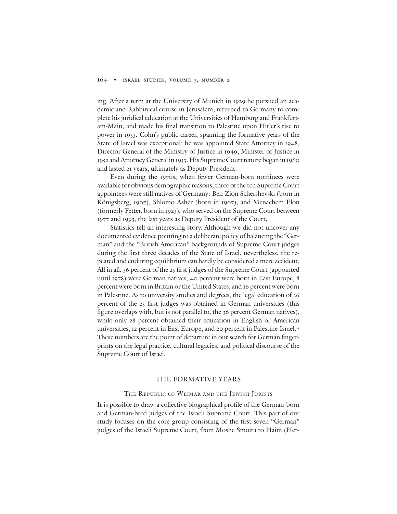ing. After a term at the University of Munich in 1929 he pursued an academic and Rabbinical course in Jerusalem, returned to Germany to complete his juridical education at the Universities of Hamburg and Frankfurtam-Main, and made his final transition to Palestine upon Hitler's rise to power in 1933. Cohn's public career, spanning the formative years of the State of Israel was exceptional: he was appointed State Attorney in 1948, Director General of the Ministry of Justice in 1949, Minister of Justice in 1952 and Attorney General in 1953. His Supreme Court tenure began in 1960 and lasted 21 years, ultimately as Deputy President.

Even during the 1970s, when fewer German-born nominees were available for obvious demographic reasons, three of the ten Supreme Court appointees were still natives of Germany: Ben-Zion Schershevski (born in Königsberg, 1907), Shlomo Asher (born in 1907), and Menachem Elon (formerly Fetter, born in 1923), who served on the Supreme Court between 1977 and 1993, the last years as Deputy President of the Court.

Statistics tell an interesting story. Although we did not uncover any documented evidence pointing to a deliberate policy of balancing the "German" and the "British American" backgrounds of Supreme Court judges during the first three decades of the State of Israel, nevertheless, the repeated and enduring equilibrium can hardly be considered a mere accident. All in all, 36 percent of the 25 first judges of the Supreme Court (appointed until 1978) were German natives, 40 percent were born in East Europe, 8 percent were born in Britain or the United States, and 16 percent were born in Palestine. As to university studies and degrees, the legal education of 36 percent of the 25 first judges was obtained in German universities (this figure overlaps with, but is not parallel to, the 36 percent German natives), while only 28 percent obtained their education in English or American universities, 12 percent in East Europe, and 20 percent in Palestine-Israel. 12 These numbers are the point of departure in our search for German fingerprints on the legal practice, cultural legacies, and political discourse of the Supreme Court of Israel.

### THE FORMATIVE YEARS

### THE REPUBLIC OF WEIMAR AND THE JEWISH JURISTS

It is possible to draw a collective biographical profile of the German-born and German-bred judges of the Israeli Supreme Court. This part of our study focuses on the core group consisting of the first seven "German" judges of the Israeli Supreme Court, from Moshe Smoira to Haim (Her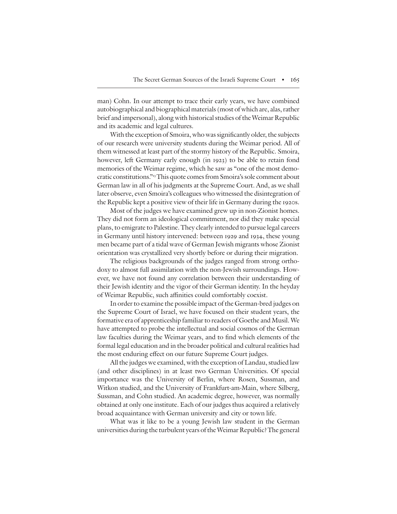man) Cohn. In our attempt to trace their early years, we have combined autobiographical and biographical materials(most of which are, alas,rather brief and impersonal), along with historical studies of theWeimar Republic and its academic and legal cultures.

With the exception of Smoira, who was significantly older, the subjects of our research were university students during the Weimar period. All of them witnessed at least part of the stormy history of the Republic. Smoira, however, left Germany early enough (in 1923) to be able to retain fond memories of the Weimar regime, which he saw as "one of the most democratic constitutions."<sup>13</sup>This quote comes from Smoira's sole comment about German law in all of his judgments at the Supreme Court. And, as we shall later observe, even Smoira's colleagues who witnessed the disintegration of the Republic kept a positive view of their life in Germany during the 1920s.

Most of the judges we have examined grew up in non-Zionist homes. They did not form an ideological commitment, nor did they make special plans, to emigrate to Palestine. They clearly intended to pursue legal careers in Germany until history intervened: between 1929 and 1934, these young men became part of a tidal wave of German Jewish migrants whose Zionist orientation was crystallized very shortly before or during their migration.

The religious backgrounds of the judges ranged from strong orthodoxy to almost full assimilation with the non-Jewish surroundings. However, we have not found any correlation between their understanding of their Jewish identity and the vigor of their German identity. In the heyday of Weimar Republic, such affinities could comfortably coexist.

In order to examine the possible impact of the German-bred judges on the Supreme Court of Israel, we have focused on their student years, the formative era of apprenticeship familiar to readers of Goethe and Musil. We have attempted to probe the intellectual and social cosmos of the German law faculties during the Weimar years, and to find which elements of the formal legal education and in the broader political and cultural realities had the most enduring effect on our future Supreme Court judges.

All the judges we examined, with the exception of Landau, studied law (and other disciplines) in at least two German Universities. Of special importance was the University of Berlin, where Rosen, Sussman, and Witkon studied, and the University of Frankfurt-am-Main, where Silberg, Sussman, and Cohn studied. An academic degree, however, was normally obtained at only one institute. Each of our judges thus acquired a relatively broad acquaintance with German university and city or town life.

What was it like to be a young Jewish law student in the German universities during the turbulent years oftheWeimar Republic?The general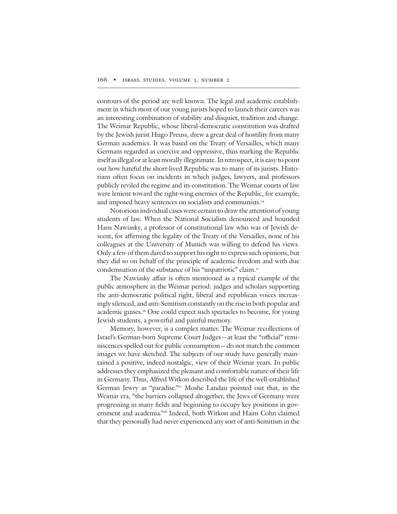contours of the period are well known. The legal and academic establishment in which most of our young jurists hoped to launch their careers was an interesting combination of stability and disquiet, tradition and change. The Weimar Republic, whose liberal-democratic constitution was drafted by the Jewish jurist Hugo Preuss, drew a great deal of hostility from many German academics. It was based on the Treaty of Versailles, which many Germans regarded as coercive and oppressive, thus marking the Republic itself as illegal or at least morally illegitimate. In retrospect, it is easy to point out how hateful the short-lived Republic was to many of its jurists. Historians often focus on incidents in which judges, lawyers, and professors publicly reviled the regime and its constitution. The Weimar courts of law were lenient toward the right-wing enemies of the Republic, for example, and imposed heavy sentences on socialists and communists. 14

Notorious individual cases were certain to draw the attention of young students of law. When the National Socialists denounced and hounded Hans Nawiasky, a professor of constitutional law who was of Jewish descent, for affirming the legality of the Treaty of the Versailles, none of his colleagues at the University of Munich was willing to defend his views. Only a few of them dared to support his right to express such opinions, but they did so on behalf of the principle of academic freedom and with due condemnation of the substance of his "unpatriotic" claim. 15

The Nawiasky affair is often mentioned as a typical example of the public atmosphere in the Weimar period: judges and scholars supporting the anti-democratic political right, liberal and republican voices increasingly silenced, and anti-Semitism constantly on the rise in both popular and academic guises. <sup>16</sup> One could expect such spectacles to become, for young Jewish students, a powerful and painful memory.

Memory, however, is a complex matter. The Weimar recollections of Israel's German-born Supreme Court Judges-at least the "official" reminiscences spelled out for public consumption—do not match the common images we have sketched. The subjects of our study have generally maintained a positive, indeed nostalgic, view of their Weimar years. In public addresses they emphasized the pleasant and comfortable nature of their life in Germany. Thus, Alfred Witkon described the life of the well-established German Jewry as "paradise."<sup>17</sup> Moshe Landau pointed out that, in the Weimar era, "the barriers collapsed altogether, the Jews of Germany were progressing in many fields and beginning to occupy key positions in government and academia."<sup>18</sup> Indeed, both Witkon and Haim Cohn claimed that they personally had never experienced any sort of anti-Semitism in the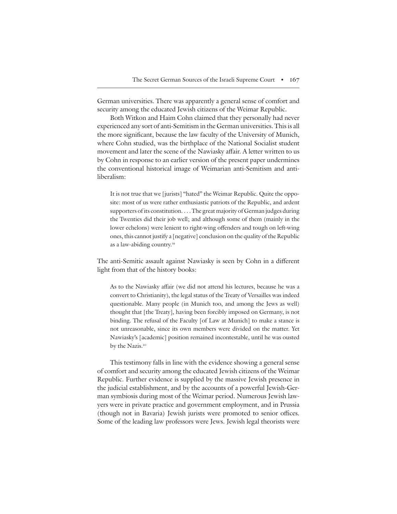German universities. There was apparently a general sense of comfort and security among the educated Jewish citizens of the Weimar Republic.

Both Witkon and Haim Cohn claimed that they personally had never experienced any sort of anti-Semitism in the German universities. This is all the more significant, because the law faculty of the University of Munich, where Cohn studied, was the birthplace of the National Socialist student movement and later the scene of the Nawiasky affair. A letter written to us by Cohn in response to an earlier version of the present paper undermines the conventional historical image of Weimarian anti-Semitism and antiliberalism:

It is not true that we [jurists] "hated" the Weimar Republic. Quite the opposite: most of us were rather enthusiastic patriots of the Republic, and ardent supporters of its constitution. . . .The great majority of German judges during the Twenties did their job well; and although some of them (mainly in the lower echelons) were lenient to right-wing offenders and tough on left-wing ones, this cannot justify a [negative] conclusion on the quality of the Republic as a law-abiding country. 19

The anti-Semitic assault against Nawiasky is seen by Cohn in a different light from that of the history books:

As to the Nawiasky affair (we did not attend his lectures, because he was a convert to Christianity), the legal status of the Treaty of Versailles was indeed questionable. Many people (in Munich too, and among the Jews as well) thought that [the Treaty], having been forcibly imposed on Germany, is not binding. The refusal of the Faculty [of Law at Munich] to make a stance is not unreasonable, since its own members were divided on the matter. Yet Nawiasky's [academic] position remained incontestable, until he was ousted by the Nazis. 20

This testimony falls in line with the evidence showing a general sense of comfort and security among the educated Jewish citizens of the Weimar Republic. Further evidence is supplied by the massive Jewish presence in the judicial establishment, and by the accounts of a powerful Jewish-German symbiosis during most of the Weimar period. Numerous Jewish lawyers were in private practice and government employment, and in Prussia (though not in Bavaria) Jewish jurists were promoted to senior offices. Some of the leading law professors were Jews. Jewish legal theorists were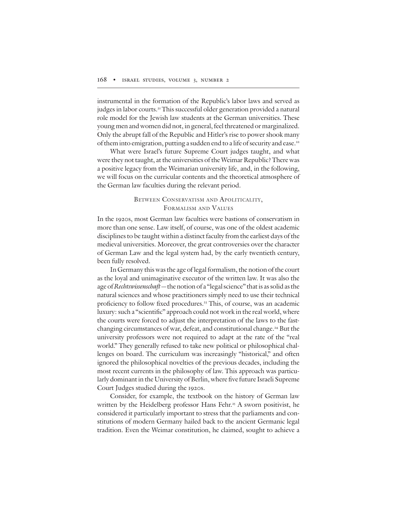instrumental in the formation of the Republic's labor laws and served as judges in labor courts. <sup>21</sup> This successful older generation provided a natural role model for the Jewish law students at the German universities. These young men and women did not, in general, feel threatened or marginalized. Only the abrupt fall of the Republic and Hitler's rise to power shook many of them into emigration, putting a sudden end to a life of security and ease. $^{\scriptscriptstyle 22}$ 

What were Israel's future Supreme Court judges taught, and what were they not taught, at the universities of theWeimar Republic? There was a positive legacy from the Weimarian university life, and, in the following, we will focus on the curricular contents and the theoretical atmosphere of the German law faculties during the relevant period.

## BETWEEN CONSERVATISM AND APOLITICALITY, FORMALISM AND VALUES

In the 1920s, most German law faculties were bastions of conservatism in more than one sense. Law itself, of course, was one of the oldest academic disciplines to be taught within a distinct faculty from the earliest days of the medieval universities. Moreover, the great controversies over the character of German Law and the legal system had, by the early twentieth century, been fully resolved.

In Germany this was the age of legal formalism, the notion of the court as the loyal and unimaginative executor of the written law. It was also the age of Rechtswissenschaft—the notion of a "legal science" that is as solid as the natural sciences and whose practitioners simply need to use their technical proficiency to follow fixed procedures.<sup>23</sup> This, of course, was an academic luxury: such a "scientific" approach could not work in the real world, where the courts were forced to adjust the interpretation of the laws to the fastchanging circumstances of war, defeat, and constitutional change. <sup>24</sup> But the university professors were not required to adapt at the rate of the "real world." They generally refused to take new political or philosophical challenges on board. The curriculum was increasingly "historical," and often ignored the philosophical novelties of the previous decades, including the most recent currents in the philosophy of law. This approach was particularly dominant in the University of Berlin, where five future Israeli Supreme Court Judges studied during the 1920s.

Consider, for example, the textbook on the history of German law written by the Heidelberg professor Hans Fehr. <sup>25</sup> A sworn positivist, he considered it particularly important to stress that the parliaments and constitutions of modern Germany hailed back to the ancient Germanic legal tradition. Even the Weimar constitution, he claimed, sought to achieve a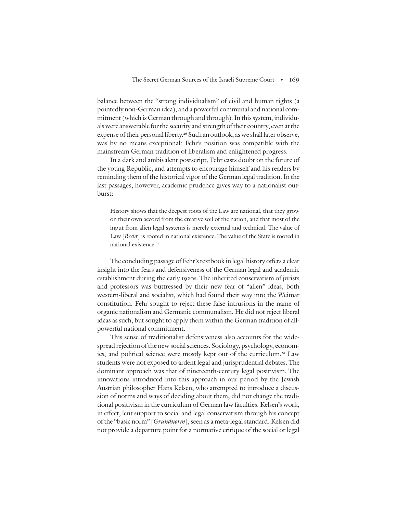balance between the "strong individualism" of civil and human rights (a pointedly non-German idea), and a powerful communal and national commitment (which is German through and through). In this system, individuals were answerable for the security and strength of their country, even at the expense of their personal liberty.<sup>26</sup> Such an outlook, as we shall later observe, was by no means exceptional: Fehr's position was compatible with the mainstream German tradition of liberalism and enlightened progress.

In a dark and ambivalent postscript, Fehr casts doubt on the future of the young Republic, and attempts to encourage himself and his readers by reminding them of the historical vigor of the German legal tradition. In the last passages, however, academic prudence gives way to a nationalist outburst:

History shows that the deepest roots of the Law are national, that they grow on their own accord from the creative soil of the nation, and that most of the input from alien legal systems is merely external and technical. The value of Law [Recht] is rooted in national existence. The value of the State is rooted in national existence. 27

The concluding passage of Fehr's textbook in legal history offers a clear insight into the fears and defensiveness of the German legal and academic establishment during the early 1920s. The inherited conservatism of jurists and professors was buttressed by their new fear of "alien" ideas, both western-liberal and socialist, which had found their way into the Weimar constitution. Fehr sought to reject these false intrusions in the name of organic nationalism and Germanic communalism. He did not reject liberal ideas as such, but sought to apply them within the German tradition of allpowerful national commitment.

This sense of traditionalist defensiveness also accounts for the widespread rejection of the new social sciences. Sociology, psychology, economics, and political science were mostly kept out of the curriculum. <sup>28</sup> Law students were not exposed to ardent legal and jurisprudential debates. The dominant approach was that of nineteenth-century legal positivism. The innovations introduced into this approach in our period by the Jewish Austrian philosopher Hans Kelsen, who attempted to introduce a discussion of norms and ways of deciding about them, did not change the traditional positivism in the curriculum of German law faculties. Kelsen's work, in effect, lent support to social and legal conservatism through his concept of the "basic norm" [Grundnorm], seen as a meta-legal standard. Kelsen did not provide a departure point for a normative critique of the social or legal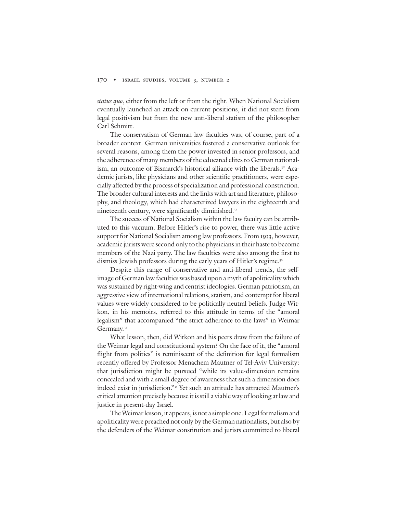status quo, either from the left or from the right. When National Socialism eventually launched an attack on current positions, it did not stem from legal positivism but from the new anti-liberal statism of the philosopher Carl Schmitt.

The conservatism of German law faculties was, of course, part of a broader context. German universities fostered a conservative outlook for several reasons, among them the power invested in senior professors, and the adherence of many members of the educated elites to German nationalism, an outcome of Bismarck's historical alliance with the liberals. <sup>30</sup> Academic jurists, like physicians and other scientific practitioners, were especially affected by the process of specialization and professional constriction. The broader cultural interests and the links with art and literature, philosophy, and theology, which had characterized lawyers in the eighteenth and nineteenth century, were significantly diminished.<sup>31</sup>

The success of National Socialism within the law faculty can be attributed to this vacuum. Before Hitler's rise to power, there was little active support for National Socialism among law professors. From 1933, however, academic jurists were second only to the physicians in their haste to become members of the Nazi party. The law faculties were also among the first to dismiss Jewish professors during the early years of Hitler's regime. 32

Despite this range of conservative and anti-liberal trends, the selfimage of German law faculties was based upon a myth of apoliticality which was sustained by right-wing and centrist ideologies. German patriotism, an aggressive view of international relations, statism, and contempt for liberal values were widely considered to be politically neutral beliefs. Judge Witkon, in his memoirs, referred to this attitude in terms of the "amoral legalism" that accompanied "the strict adherence to the laws" in Weimar Germany. 33

What lesson, then, did Witkon and his peers draw from the failure of the Weimar legal and constitutional system? On the face of it, the "amoral flight from politics" is reminiscent of the definition for legal formalism recently offered by Professor Menachem Mautner of Tel-Aviv University: that jurisdiction might be pursued "while its value-dimension remains concealed and with a small degree of awareness that such a dimension does indeed exist in jurisdiction."<sup>35</sup> Yet such an attitude has attracted Mautner's critical attention precisely because it is still a viable way of looking at law and justice in present-day Israel.

The Weimar lesson, it appears, is not a simple one. Legal formalism and apoliticality were preached not only by the German nationalists, but also by the defenders of the Weimar constitution and jurists committed to liberal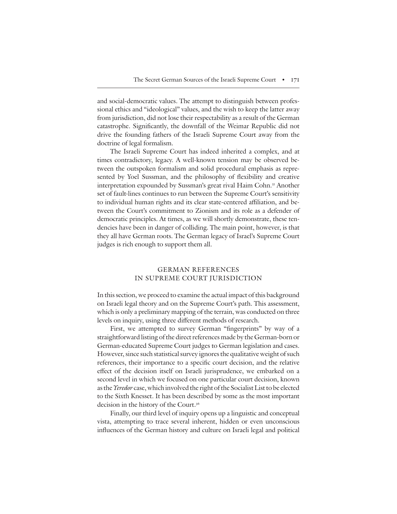and social-democratic values. The attempt to distinguish between professional ethics and "ideological" values, and the wish to keep the latter away from jurisdiction, did not lose their respectability as a result of the German catastrophe. Significantly, the downfall of the Weimar Republic did not drive the founding fathers of the Israeli Supreme Court away from the doctrine of legal formalism.

The Israeli Supreme Court has indeed inherited a complex, and at times contradictory, legacy. A well-known tension may be observed between the outspoken formalism and solid procedural emphasis as represented by Yoel Sussman, and the philosophy of flexibility and creative interpretation expounded by Sussman's great rival Haim Cohn. <sup>35</sup> Another set of fault-lines continues to run between the Supreme Court's sensitivity to individual human rights and its clear state-centered affiliation, and between the Court's commitment to Zionism and its role as a defender of democratic principles. At times, as we will shortly demonstrate, these tendencies have been in danger of colliding. The main point, however, is that they all have German roots. The German legacy of Israel's Supreme Court judges is rich enough to support them all.

## GERMAN REFERENCES IN SUPREME COURT JURISDICTION

In this section, we proceed to examine the actual impact of this background on Israeli legal theory and on the Supreme Court's path. This assessment, which is only a preliminary mapping of the terrain, was conducted on three levels on inquiry, using three different methods of research.

First, we attempted to survey German "fingerprints" by way of a straightforward listing of the direct references made by the German-born or German-educated Supreme Court judges to German legislation and cases. However, since such statistical survey ignores the qualitative weight of such references, their importance to a specific court decision, and the relative effect of the decision itself on Israeli jurisprudence, we embarked on a second level in which we focused on one particular court decision, known as the Yeredor case, which involved the right of the Socialist List to be elected to the Sixth Knesset. It has been described by some as the most important decision in the history of the Court. 36

Finally, our third level of inquiry opens up a linguistic and conceptual vista, attempting to trace several inherent, hidden or even unconscious influences of the German history and culture on Israeli legal and political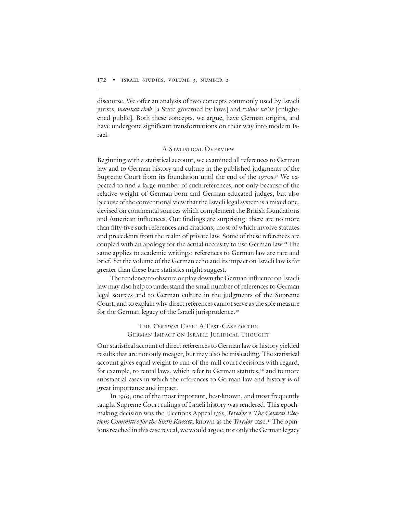discourse. We offer an analysis of two concepts commonly used by Israeli jurists, *medinat chok* [a State governed by laws] and tzibur na'or [enlightened public]. Both these concepts, we argue, have German origins, and have undergone significant transformations on their way into modern Israel.

### A STATISTICAL OVERVIEW

Beginning with a statistical account, we examined all references to German law and to German history and culture in the published judgments of the Supreme Court from its foundation until the end of the 1970s. <sup>37</sup> We expected to find a large number of such references, not only because of the relative weight of German-born and German-educated judges, but also because of the conventional view that the Israeli legal system is a mixed one, devised on continental sources which complement the British foundations and American influences. Our findings are surprising: there are no more than fifty-five such references and citations, most of which involve statutes and precedents from the realm of private law. Some of these references are coupled with an apology for the actual necessity to use German law. <sup>38</sup> The same applies to academic writings: references to German law are rare and brief. Yet the volume of the German echo and its impact on Israeli law is far greater than these bare statistics might suggest.

The tendency to obscure or play down the German influence on Israeli law may also help to understand the small number of references to German legal sources and to German culture in the judgments of the Supreme Court, and to explain why direct references cannot serve as the sole measure for the German legacy of the Israeli jurisprudence. 39

## THE YEREDOR CASE: A TEST-CASE OF THE GERMAN IMPACT ON ISRAELI JURIDICAL THOUGHT

Our statistical account of direct references to German law or history yielded results that are not only meager, but may also be misleading. The statistical account gives equal weight to run-of-the-mill court decisions with regard, for example, to rental laws, which refer to German statutes, <sup>40</sup> and to more substantial cases in which the references to German law and history is of great importance and impact.

In 1965, one of the most important, best-known, and most frequently taught Supreme Court rulings of Israeli history was rendered. This epochmaking decision was the Elections Appeal 1/65, *Yeredor v. The Central Elec*tions Committee for the Sixth Knesset, known as the Yeredor case.<sup>41</sup> The opinions reached in this case reveal, we would argue, not only the German legacy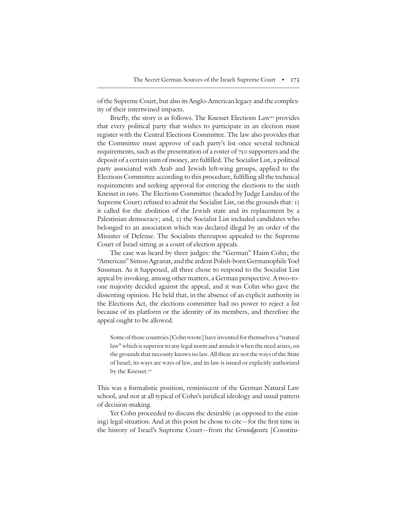of the Supreme Court, but also its Anglo-American legacy and the complexity of their intertwined impacts.

Briefly, the story is as follows. The Knesset Elections Law<sup>42</sup> provides that every political party that wishes to participate in an election must register with the Central Elections Committee. The law also provides that the Committee must approve of each party's list once several technical requirements, such as the presentation of a roster of 750 supporters and the deposit of a certain sum of money, are fulfilled. The Socialist List, a political party associated with Arab and Jewish left-wing groups, applied to the Elections Committee according to this procedure, fulfilling all the technical requirements and seeking approval for entering the elections to the sixth Knesset in 1965. The Elections Committee (headed by Judge Landau of the Supreme Court) refused to admit the Socialist List, on the grounds that: 1) it called for the abolition of the Jewish state and its replacement by a Palestinian democracy; and, 2) the Socialist List included candidates who belonged to an association which was declared illegal by an order of the Minister of Defense. The Socialists thereupon appealed to the Supreme Court of Israel sitting as a court of election appeals.

The case was heard by three judges: the "German" Haim Cohn; the "American" Simon Agranat, and the ardent Polish-born Germanophile Yoel Sussman. As it happened, all three chose to respond to the Socialist List appeal by invoking, among other matters, a German perspective. A two-toone majority decided against the appeal, and it was Cohn who gave the dissenting opinion. He held that, in the absence of an explicit authority in the Elections Act, the elections committee had no power to reject a list because of its platform or the identity of its members, and therefore the appeal ought to be allowed.

Some of those countries [Cohn wrote] have invented for themselves a "natural law" which is superior to any legal norm and annuls it when the need arises, on the grounds that necessity knows no law. All these are not the ways of the State of Israel; its ways are ways of law, and its law is issued or explicitly authorized by the Knesset. 43

This was a formalistic position, reminiscent of the German Natural Law school, and not at all typical of Cohn's juridical ideology and usual pattern of decision-making.

Yet Cohn proceeded to discuss the desirable (as opposed to the existing) legal situation. And at this point he chose to cite—for the first time in the history of Israel's Supreme Court—from the Grundgesetz [Constitu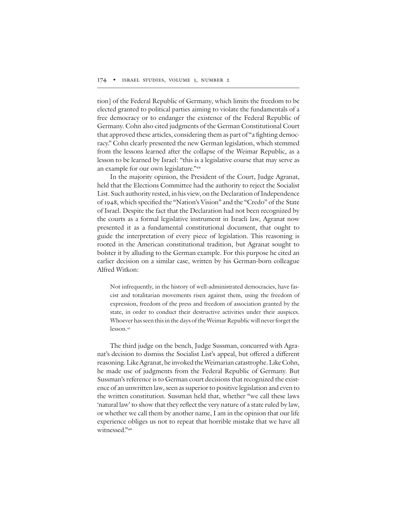tion] of the Federal Republic of Germany, which limits the freedom to be elected granted to political parties aiming to violate the fundamentals of a free democracy or to endanger the existence of the Federal Republic of Germany. Cohn also cited judgments of the German Constitutional Court that approved these articles, considering them as part of "a fighting democracy." Cohn clearly presented the new German legislation, which stemmed from the lessons learned after the collapse of the Weimar Republic, as a lesson to be learned by Israel: "this is a legislative course that may serve as an example for our own legislature."<sup>44</sup>

In the majority opinion, the President of the Court, Judge Agranat, held that the Elections Committee had the authority to reject the Socialist List. Such authority rested, in his view, on the Declaration of Independence of 1948, which specified the "Nation's Vision" and the "Credo" of the State of Israel. Despite the fact that the Declaration had not been recognized by the courts as a formal legislative instrument in Israeli law, Agranat now presented it as a fundamental constitutional document, that ought to guide the interpretation of every piece of legislation. This reasoning is rooted in the American constitutional tradition, but Agranat sought to bolster it by alluding to the German example. For this purpose he cited an earlier decision on a similar case, written by his German-born colleague Alfred Witkon:

Not infrequently, in the history of well-administrated democracies, have fascist and totalitarian movements risen against them, using the freedom of expression, freedom of the press and freedom of association granted by the state, in order to conduct their destructive activities under their auspices. Whoever has seen this in the days of the Weimar Republic will never forget the lesson. 45

The third judge on the bench, Judge Sussman, concurred with Agranat's decision to dismiss the Socialist List's appeal, but offered a different reasoning.LikeAgranat, he invoked theWeimarian catastrophe.Like Cohn, he made use of judgments from the Federal Republic of Germany. But Sussman's reference is to German court decisions that recognized the existence of an unwritten law, seen as superior to positive legislation and even to the written constitution. Sussman held that, whether "we call these laws 'natural law' to show that they reflect the very nature of a state ruled by law, or whether we call them by another name, I am in the opinion that our life experience obliges us not to repeat that horrible mistake that we have all witnessed."46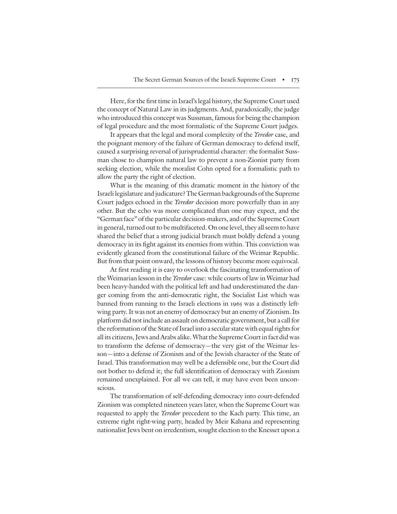Here, for the first time in Israel's legal history, the Supreme Court used the concept of Natural Law in its judgments. And, paradoxically, the judge who introduced this concept was Sussman, famous for being the champion of legal procedure and the most formalistic of the Supreme Court judges.

It appears that the legal and moral complexity of the *Yeredor* case, and the poignant memory of the failure of German democracy to defend itself, caused a surprising reversal of jurisprudential character: the formalist Sussman chose to champion natural law to prevent a non-Zionist party from seeking election, while the moralist Cohn opted for a formalistic path to allow the party the right of election.

What is the meaning of this dramatic moment in the history of the Israeli legislature and judicature?The German backgrounds of the Supreme Court judges echoed in the *Yeredor* decision more powerfully than in any other. But the echo was more complicated than one may expect, and the "German face" of the particular decision-makers, and of the Supreme Court in general, turned out to be multifaceted. On one level, they all seem to have shared the belief that a strong judicial branch must boldly defend a young democracy in its fight against its enemies from within. This conviction was evidently gleaned from the constitutional failure of the Weimar Republic. But from that point onward, the lessons of history become more equivocal.

At first reading it is easy to overlook the fascinating transformation of the Weimarian lesson in the Yeredor case: while courts of law in Weimar had been heavy-handed with the political left and had underestimated the danger coming from the anti-democratic right, the Socialist List which was banned from running to the Israeli elections in 1965 was a distinctly leftwing party. It was not an enemy of democracy but an enemy of Zionism. Its platform did notinclude an assault on democratic government, but a call for the reformation of the State of Israel into a secular state with equal rights for all its citizens, Jews and Arabs alike. What the Supreme Court in fact did was to transform the defense of democracy—the very gist of the Weimar lesson—into a defense of Zionism and of the Jewish character of the State of Israel. This transformation may well be a defensible one, but the Court did not bother to defend it; the full identification of democracy with Zionism remained unexplained. For all we can tell, it may have even been unconscious.

The transformation of self-defending democracy into court-defended Zionism was completed nineteen years later, when the Supreme Court was requested to apply the *Yeredor* precedent to the Kach party. This time, an extreme right right-wing party, headed by Meir Kahana and representing nationalist Jews bent on irredentism, sought election to the Knesset upon a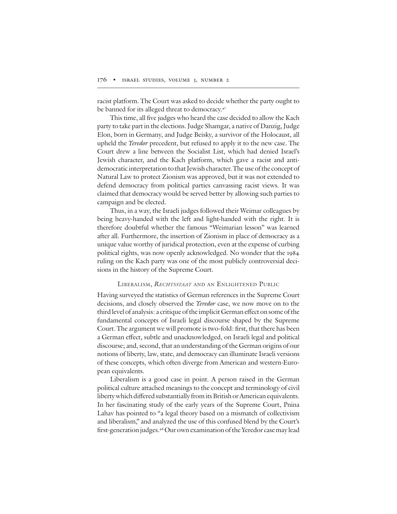racist platform. The Court was asked to decide whether the party ought to be banned for its alleged threat to democracy. 47

This time, all five judges who heard the case decided to allow the Kach party to take part in the elections. Judge Shamgar, a native of Danzig, Judge Elon, born in Germany, and Judge Beisky, a survivor of the Holocaust, all upheld the *Yeredor* precedent, but refused to apply it to the new case. The Court drew a line between the Socialist List, which had denied Israel's Jewish character, and the Kach platform, which gave a racist and antidemocratic interpretation to that Jewish character. The use of the concept of Natural Law to protect Zionism was approved, but it was not extended to defend democracy from political parties canvassing racist views. It was claimed that democracy would be served better by allowing such parties to campaign and be elected.

Thus, in a way, the Israeli judges followed their Weimar colleagues by being heavy-handed with the left and light-handed with the right. It is therefore doubtful whether the famous "Weimarian lesson" was learned after all. Furthermore, the insertion of Zionism in place of democracy as a unique value worthy of juridical protection, even at the expense of curbing political rights, was now openly acknowledged. No wonder that the 1984 ruling on the Kach party was one of the most publicly controversial decisions in the history of the Supreme Court.

#### LIBERALISM, RECHTSSTAAT AND AN ENLIGHTENED PUBLIC

Having surveyed the statistics of German references in the Supreme Court decisions, and closely observed the *Yeredor* case, we now move on to the third level of analysis: a critique of the implicit German effect on some of the fundamental concepts of Israeli legal discourse shaped by the Supreme Court. The argument we will promote is two-fold: first, that there has been a German effect, subtle and unacknowledged, on Israeli legal and political discourse; and, second, that an understanding of the German origins of our notions of liberty, law, state, and democracy can illuminate Israeli versions of these concepts, which often diverge from American and western-European equivalents.

Liberalism is a good case in point. A person raised in the German political culture attached meanings to the concept and terminology of civil liberty which differed substantially from its British or American equivalents. In her fascinating study of the early years of the Supreme Court, Pnina Lahav has pointed to "a legal theory based on a mismatch of collectivism and liberalism," and analyzed the use of this confused blend by the Court's first-generation judges.<sup>48</sup> Our own examination of the Yeredor case may lead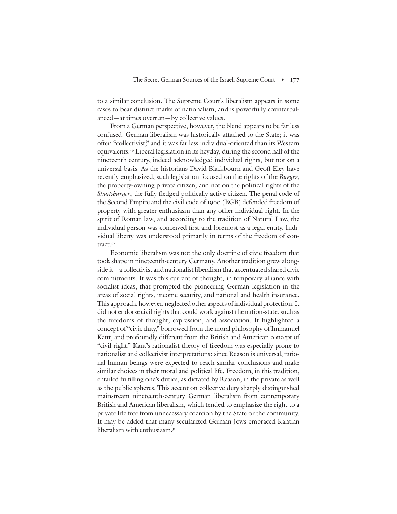to a similar conclusion. The Supreme Court's liberalism appears in some cases to bear distinct marks of nationalism, and is powerfully counterbalanced—at times overrun—by collective values.

From a German perspective, however, the blend appears to be far less confused. German liberalism was historically attached to the State; it was often "collectivist," and it was far less individual-oriented than its Western equivalents. <sup>49</sup> Liberal legislation in its heyday, during the second half of the nineteenth century, indeed acknowledged individual rights, but not on a universal basis. As the historians David Blackbourn and Geoff Eley have recently emphasized, such legislation focused on the rights of the *Burger*, the property-owning private citizen, and not on the political rights of the Staatsburger, the fully-fledged politically active citizen. The penal code of the Second Empire and the civil code of 1900 (BGB) defended freedom of property with greater enthusiasm than any other individual right. In the spirit of Roman law, and according to the tradition of Natural Law, the individual person was conceived first and foremost as a legal entity. Individual liberty was understood primarily in terms of the freedom of contract. 50

Economic liberalism was not the only doctrine of civic freedom that took shape in nineteenth-century Germany. Another tradition grew alongside it—a collectivist and nationalist liberalism that accentuated shared civic commitments. It was this current of thought, in temporary alliance with socialist ideas, that prompted the pioneering German legislation in the areas of social rights, income security, and national and health insurance. This approach, however, neglected other aspects of individual protection.It did not endorse civil rights that could work against the nation-state, such as the freedoms of thought, expression, and association. It highlighted a concept of "civic duty," borrowed from the moral philosophy of Immanuel Kant, and profoundly different from the British and American concept of "civil right." Kant's rationalist theory of freedom was especially prone to nationalist and collectivist interpretations: since Reason is universal, rational human beings were expected to reach similar conclusions and make similar choices in their moral and political life. Freedom, in this tradition, entailed fulfilling one's duties, as dictated by Reason, in the private as well as the public spheres. This accent on collective duty sharply distinguished mainstream nineteenth-century German liberalism from contemporary British and American liberalism, which tended to emphasize the right to a private life free from unnecessary coercion by the State or the community. It may be added that many secularized German Jews embraced Kantian liberalism with enthusiasm. 51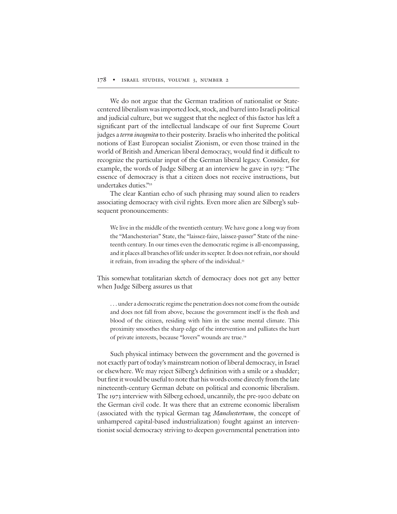We do not argue that the German tradition of nationalist or Statecentered liberalism was imported lock, stock, and barrel into Israeli political and judicial culture, but we suggest that the neglect of this factor has left a significant part of the intellectual landscape of our first Supreme Court judges a terra incognita to their posterity. Israelis who inherited the political notions of East European socialist Zionism, or even those trained in the world of British and American liberal democracy, would find it difficult to recognize the particular input of the German liberal legacy. Consider, for example, the words of Judge Silberg at an interview he gave in 1973: "The essence of democracy is that a citizen does not receive instructions, but undertakes duties."<sup>52</sup>

The clear Kantian echo of such phrasing may sound alien to readers associating democracy with civil rights. Even more alien are Silberg's subsequent pronouncements:

We live in the middle of the twentieth century. We have gone a long way from the "Manchesterian" State, the "laissez-faire, laissez-passer" State of the nineteenth century. In our times even the democratic regime is all-encompassing, and it places all branches of life under its scepter. It does not refrain, nor should it refrain, from invading the sphere of the individual. 53

This somewhat totalitarian sketch of democracy does not get any better when Judge Silberg assures us that

. . . under a democratic regime the penetration does not come from the outside and does not fall from above, because the government itself is the flesh and blood of the citizen, residing with him in the same mental climate. This proximity smoothes the sharp edge of the intervention and palliates the hurt of private interests, because "lovers" wounds are true. 54

Such physical intimacy between the government and the governed is not exactly part of today's mainstream notion of liberal democracy, in Israel or elsewhere. We may reject Silberg's definition with a smile or a shudder; but first it would be useful to note that his words come directly from the late nineteenth-century German debate on political and economic liberalism. The 1973 interview with Silberg echoed, uncannily, the pre-1900 debate on the German civil code. It was there that an extreme economic liberalism (associated with the typical German tag Manchestertum, the concept of unhampered capital-based industrialization) fought against an interventionist social democracy striving to deepen governmental penetration into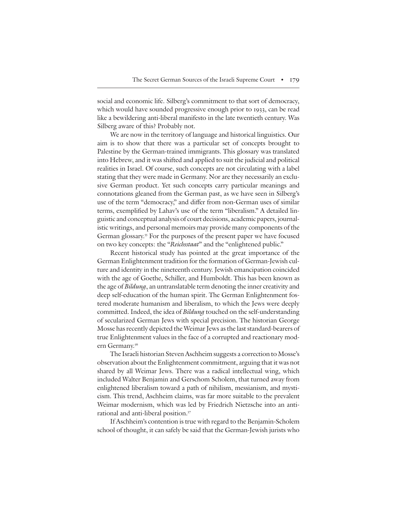social and economic life. Silberg's commitment to that sort of democracy, which would have sounded progressive enough prior to 1933, can be read like a bewildering anti-liberal manifesto in the late twentieth century. Was Silberg aware of this? Probably not.

We are now in the territory of language and historical linguistics. Our aim is to show that there was a particular set of concepts brought to Palestine by the German-trained immigrants. This glossary was translated into Hebrew, and it was shifted and applied to suit the judicial and political realities in Israel. Of course, such concepts are not circulating with a label stating that they were made in Germany. Nor are they necessarily an exclusive German product. Yet such concepts carry particular meanings and connotations gleaned from the German past, as we have seen in Silberg's use of the term "democracy," and differ from non-German uses of similar terms, exemplified by Lahav's use of the term "liberalism." A detailed linguistic and conceptual analysis of court decisions, academic papers, journalistic writings, and personal memoirs may provide many components of the German glossary. <sup>55</sup> For the purposes of the present paper we have focused on two key concepts: the "Reichsstaat" and the "enlightened public."

Recent historical study has pointed at the great importance of the German Enlightenment tradition for the formation of German-Jewish culture and identity in the nineteenth century. Jewish emancipation coincided with the age of Goethe, Schiller, and Humboldt. This has been known as the age of Bildung, an untranslatable term denoting the inner creativity and deep self-education of the human spirit. The German Enlightenment fostered moderate humanism and liberalism, to which the Jews were deeply committed. Indeed, the idea of *Bildung* touched on the self-understanding of secularized German Jews with special precision. The historian George Mosse has recently depicted the Weimar Jews as the last standard-bearers of true Enlightenment values in the face of a corrupted and reactionary modern Germany. 56

The Israeli historian Steven Aschheim suggests a correction to Mosse's observation about the Enlightenment commitment, arguing that it was not shared by all Weimar Jews. There was a radical intellectual wing, which included Walter Benjamin and Gerschom Scholem, that turned away from enlightened liberalism toward a path of nihilism, messianism, and mysticism. This trend, Aschheim claims, was far more suitable to the prevalent Weimar modernism, which was led by Friedrich Nietzsche into an antirational and anti-liberal position. 57

If Aschheim's contention is true with regard to the Benjamin-Scholem school of thought, it can safely be said that the German-Jewish jurists who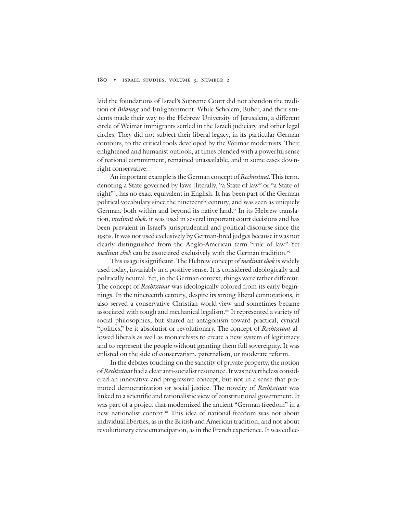laid the foundations of Israel's Supreme Court did not abandon the tradition of Bildung and Enlightenment. While Scholem, Buber, and their students made their way to the Hebrew University of Jerusalem, a different circle of Weimar immigrants settled in the Israeli judiciary and other legal circles. They did not subject their liberal legacy, in its particular German contours, to the critical tools developed by the Weimar modernists. Their enlightened and humanist outlook, at times blended with a powerful sense of national commitment, remained unassailable, and in some cases downright conservative.

An important example is the German concept of Rechtsstaat. This term, denoting a State governed by laws [literally, "a State of law" or "a State of right"], has no exact equivalent in English. It has been part of the German political vocabulary since the nineteenth century, and was seen as uniquely German, both within and beyond its native land. <sup>58</sup> In its Hebrew translation, *medinat chok*, it was used in several important court decisions and has been prevalent in Israel's jurisprudential and political discourse since the 1950s.It was not used exclusively by German-bred judges because it was not clearly distinguished from the Anglo-American term "rule of law." Yet m*edinat chok* can be associated exclusively with the German tradition.<sup>59</sup>

This usage is significant. The Hebrew concept of *medinat chok* is widely used today, invariably in a positive sense. It is considered ideologically and politically neutral. Yet, in the German context, things were rather different. The concept of Rechtsstaat was ideologically colored from its early beginnings. In the nineteenth century, despite its strong liberal connotations, it also served a conservative Christian world-view and sometimes became associated with tough and mechanical legalism. <sup>60</sup> It represented a variety of social philosophies, but shared an antagonism toward practical, cynical "politics," be it absolutist or revolutionary. The concept of Rechtsstaat allowed liberals as well as monarchists to create a new system of legitimacy and to represent the people without granting them full sovereignty. It was enlisted on the side of conservatism, paternalism, or moderate reform.

In the debates touching on the sanctity of private property, the notion of Rechtsstaat had a clear anti-socialist resonance. It was nevertheless considered an innovative and progressive concept, but not in a sense that promoted democratization or social justice. The novelty of Rechtsstaat was linked to a scientific and rationalistic view of constitutional government. It was part of a project that modernized the ancient "German freedom" in a new nationalist context. <sup>61</sup> This idea of national freedom was not about individual liberties, as in the British and American tradition, and not about revolutionary civic emancipation, as in the French experience. It was collec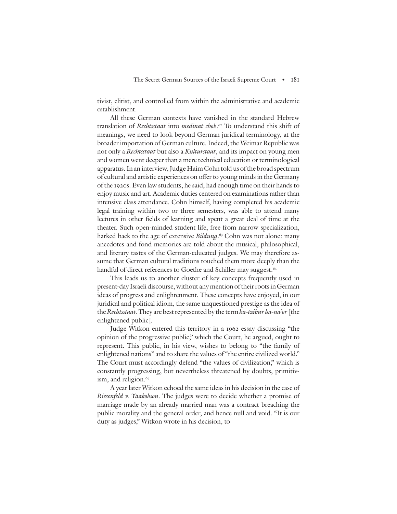tivist, elitist, and controlled from within the administrative and academic establishment.

All these German contexts have vanished in the standard Hebrew translation of *Rechtsstaat* into *medinat chok*.62 To understand this shift of meanings, we need to look beyond German juridical terminology, at the broader importation of German culture. Indeed, the Weimar Republic was not only a Rechtsstaat but also a Kulturstaat, and its impact on young men and women went deeper than a mere technical education or terminological apparatus.In an interview,Judge Haim Cohn told us of the broad spectrum of cultural and artistic experiences on offer to young minds in the Germany of the 1920s. Even law students, he said, had enough time on their hands to enjoy music and art. Academic duties centered on examinations rather than intensive class attendance. Cohn himself, having completed his academic legal training within two or three semesters, was able to attend many lectures in other fields of learning and spent a great deal of time at the theater. Such open-minded student life, free from narrow specialization, harked back to the age of extensive *Bildung*.<sup>63</sup> Cohn was not alone: many anecdotes and fond memories are told about the musical, philosophical, and literary tastes of the German-educated judges. We may therefore assume that German cultural traditions touched them more deeply than the handful of direct references to Goethe and Schiller may suggest. 64

This leads us to another cluster of key concepts frequently used in present-day Israeli discourse, without any mention of their roots in German ideas of progress and enlightenment. These concepts have enjoyed, in our juridical and political idiom, the same unquestioned prestige as the idea of the Rechtsstaat. They are best represented by the term ha-tzibur ha-na'or [the enlightened public].

Judge Witkon entered this territory in a 1962 essay discussing "the opinion of the progressive public," which the Court, he argued, ought to represent. This public, in his view, wishes to belong to "the family of enlightened nations" and to share the values of "the entire civilized world." The Court must accordingly defend "the values of civilization," which is constantly progressing, but nevertheless threatened by doubts, primitivism, and religion. 65

A year later Witkon echoed the same ideas in his decision in the case of Riesenfeld v. Yaakobson. The judges were to decide whether a promise of marriage made by an already married man was a contract breaching the public morality and the general order, and hence null and void. "It is our duty as judges," Witkon wrote in his decision, to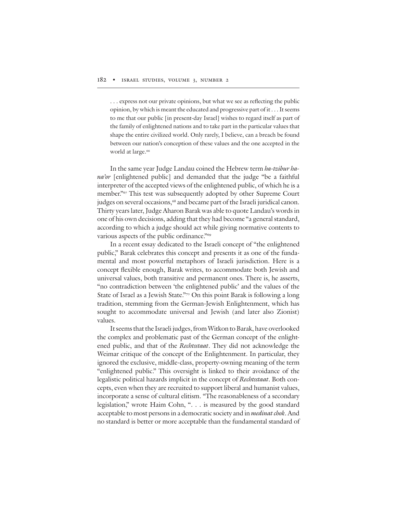... express not our private opinions, but what we see as reflecting the public opinion, by which is meant the educated and progressive part of it . . .It seems to me that our public [in present-day Israel] wishes to regard itself as part of the family of enlightened nations and to take part in the particular values that shape the entire civilized world. Only rarely, I believe, can a breach be found between our nation's conception of these values and the one accepted in the world at large. 66

In the same year Judge Landau coined the Hebrew term ha-tzibur hana'or [enlightened public] and demanded that the judge "be a faithful interpreter of the accepted views of the enlightened public, of which he is a member."<sup>67</sup> This test was subsequently adopted by other Supreme Court judges on several occasions, <sup>68</sup> and became part of the Israeli juridical canon. Thirty years later, Judge Aharon Barak was able to quote Landau's words in one of his own decisions, adding that they had become "a general standard, according to which a judge should act while giving normative contents to various aspects of the public ordinance."<sup>69</sup>

In a recent essay dedicated to the Israeli concept of "the enlightened public," Barak celebrates this concept and presents it as one of the fundamental and most powerful metaphors of Israeli jurisdiction. Here is a concept flexible enough, Barak writes, to accommodate both Jewish and universal values, both transitive and permanent ones. There is, he asserts, "no contradiction between 'the enlightened public' and the values of the State of Israel as a Jewish State."70 On this point Barak is following a long tradition, stemming from the German-Jewish Enlightenment, which has sought to accommodate universal and Jewish (and later also Zionist) values.

It seems that the Israeli judges, from Witkon to Barak, have overlooked the complex and problematic past of the German concept of the enlightened public, and that of the Rechtsstaat. They did not acknowledge the Weimar critique of the concept of the Enlightenment. In particular, they ignored the exclusive, middle-class, property-owning meaning of the term "enlightened public." This oversight is linked to their avoidance of the legalistic political hazards implicit in the concept of Rechtsstaat. Both concepts, even when they are recruited to support liberal and humanist values, incorporate a sense of cultural elitism. "The reasonableness of a secondary legislation," wrote Haim Cohn, ". . . is measured by the good standard acceptable to most persons in a democratic society and in *medinat chok*. And no standard is better or more acceptable than the fundamental standard of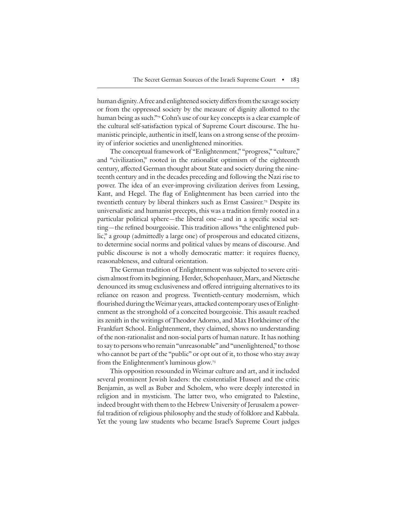human dignity. A free and enlightened society differs from the savage society or from the oppressed society by the measure of dignity allotted to the human being as such."<sup>71</sup> Cohn's use of our key concepts is a clear example of the cultural self-satisfaction typical of Supreme Court discourse. The humanistic principle, authentic in itself, leans on a strong sense of the proximity of inferior societies and unenlightened minorities.

The conceptual framework of "Enlightenment," "progress," "culture," and "civilization," rooted in the rationalist optimism of the eighteenth century, affected German thought about State and society during the nineteenth century and in the decades preceding and following the Nazi rise to power. The idea of an ever-improving civilization derives from Lessing, Kant, and Hegel. The flag of Enlightenment has been carried into the twentieth century by liberal thinkers such as Ernst Cassirer. <sup>72</sup> Despite its universalistic and humanist precepts, this was a tradition firmly rooted in a particular political sphere—the liberal one—and in a specific social setting—the refined bourgeoisie. This tradition allows "the enlightened public," a group (admittedly a large one) of prosperous and educated citizens, to determine social norms and political values by means of discourse. And public discourse is not a wholly democratic matter: it requires fluency, reasonableness, and cultural orientation.

The German tradition of Enlightenment was subjected to severe criticism almost from its beginning. Herder, Schopenhauer, Marx, and Nietzsche denounced its smug exclusiveness and offered intriguing alternatives to its reliance on reason and progress. Twentieth-century modernism, which flourished during the Weimar years, attacked contemporary uses of Enlightenment as the stronghold of a conceited bourgeoisie. This assault reached its zenith in the writings of Theodor Adorno, and Max Horkheimer of the Frankfurt School. Enlightenment, they claimed, shows no understanding of the non-rationalist and non-social parts of human nature. It has nothing to say to persons who remain "unreasonable" and "unenlightened," to those who cannot be part of the "public" or opt out of it, to those who stay away from the Enlightenment's luminous glow. 73

This opposition resounded in Weimar culture and art, and it included several prominent Jewish leaders: the existentialist Husserl and the critic Benjamin, as well as Buber and Scholem, who were deeply interested in religion and in mysticism. The latter two, who emigrated to Palestine, indeed brought with them to the Hebrew University of Jerusalem a powerful tradition of religious philosophy and the study of folklore and Kabbala. Yet the young law students who became Israel's Supreme Court judges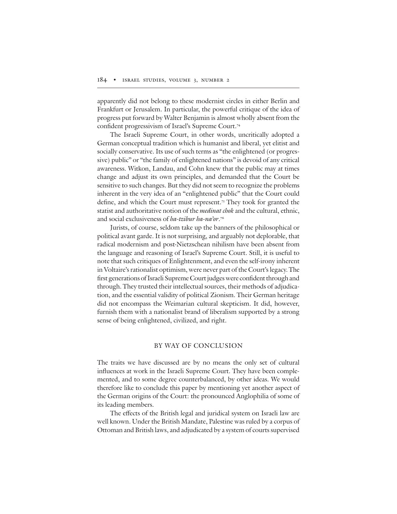apparently did not belong to these modernist circles in either Berlin and Frankfurt or Jerusalem. In particular, the powerful critique of the idea of progress put forward by Walter Benjamin is almost wholly absent from the confident progressivism of Israel's Supreme Court.<sup>74</sup>

The Israeli Supreme Court, in other words, uncritically adopted a German conceptual tradition which is humanist and liberal, yet elitist and socially conservative. Its use of such terms as "the enlightened (or progressive) public" or "the family of enlightened nations" is devoid of any critical awareness. Witkon, Landau, and Cohn knew that the public may at times change and adjust its own principles, and demanded that the Court be sensitive to such changes. But they did not seem to recognize the problems inherent in the very idea of an "enlightened public" that the Court could define, and which the Court must represent.<sup>75</sup> They took for granted the statist and authoritative notion of the *medinat chok* and the cultural, ethnic, and social exclusiveness of *ha-tzibur ha-na'or*.<sup>76</sup>

Jurists, of course, seldom take up the banners of the philosophical or political avant garde. It is not surprising, and arguably not deplorable, that radical modernism and post-Nietzschean nihilism have been absent from the language and reasoning of Israel's Supreme Court. Still, it is useful to note that such critiques of Enlightenment, and even the self-irony inherent in Voltaire's rationalist optimism, were never part of the Court's legacy. The first generations of Israeli Supreme Court judges were confident through and through. They trusted their intellectual sources, their methods of adjudication, and the essential validity of political Zionism. Their German heritage did not encompass the Weimarian cultural skepticism. It did, however, furnish them with a nationalist brand of liberalism supported by a strong sense of being enlightened, civilized, and right.

## BY WAY OF CONCLUSION

The traits we have discussed are by no means the only set of cultural influences at work in the Israeli Supreme Court. They have been complemented, and to some degree counterbalanced, by other ideas. We would therefore like to conclude this paper by mentioning yet another aspect of the German origins of the Court: the pronounced Anglophilia of some of its leading members.

The effects of the British legal and juridical system on Israeli law are well known. Under the British Mandate, Palestine was ruled by a corpus of Ottoman and British laws, and adjudicated by a system of courts supervised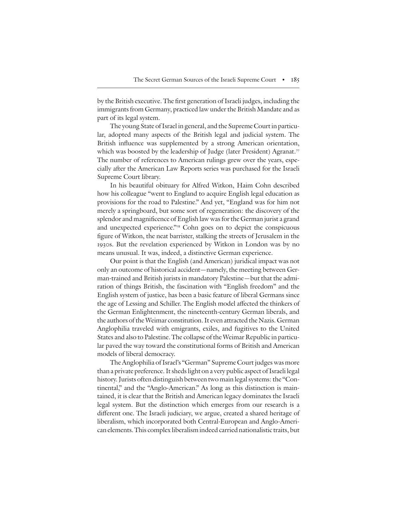by the British executive. The first generation of Israeli judges, including the immigrants from Germany, practiced law under the British Mandate and as part of its legal system.

The young State of Israel in general, and the Supreme Court in particular, adopted many aspects of the British legal and judicial system. The British influence was supplemented by a strong American orientation, which was boosted by the leadership of Judge (later President) Agranat. 77 The number of references to American rulings grew over the years, especially after the American Law Reports series was purchased for the Israeli Supreme Court library.

In his beautiful obituary for Alfred Witkon, Haim Cohn described how his colleague "went to England to acquire English legal education as provisions for the road to Palestine." And yet, "England was for him not merely a springboard, but some sort of regeneration: the discovery of the splendor and magnificence of English law was for the German jurist a grand and unexpected experience."78 Cohn goes on to depict the conspicuous figure of Witkon, the neat barrister, stalking the streets of Jerusalem in the 1930s. But the revelation experienced by Witkon in London was by no means unusual. It was, indeed, a distinctive German experience.

Our point is that the English (and American) juridical impact was not only an outcome of historical accident—namely, the meeting between German-trained and British jurists in mandatory Palestine—but that the admiration of things British, the fascination with "English freedom" and the English system of justice, has been a basic feature of liberal Germans since the age of Lessing and Schiller. The English model affected the thinkers of the German Enlightenment, the nineteenth-century German liberals, and the authors of the Weimar constitution. It even attracted the Nazis. German Anglophilia traveled with emigrants, exiles, and fugitives to the United States and also to Palestine.The collapse of theWeimar Republic in particular paved the way toward the constitutional forms of British and American models of liberal democracy.

The Anglophilia of Israel's "German" Supreme Court judges was more than a private preference. It sheds light on a very public aspect of Israeli legal history. Jurists often distinguish between two main legal systems: the "Continental," and the "Anglo-American." As long as this distinction is maintained, it is clear that the British and American legacy dominates the Israeli legal system. But the distinction which emerges from our research is a different one. The Israeli judiciary, we argue, created a shared heritage of liberalism, which incorporated both Central-European and Anglo-American elements.This complex liberalism indeed carried nationalistic traits, but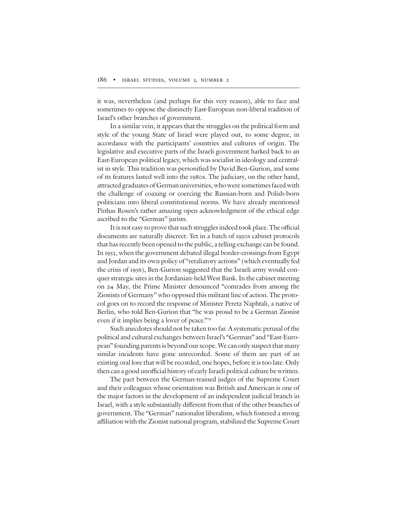it was, nevertheless (and perhaps for this very reason), able to face and sometimes to oppose the distinctly East-European non-liberal tradition of Israel's other branches of government.

In a similar vein, it appears that the struggles on the political form and style of the young State of Israel were played out, to some degree, in accordance with the participants' countries and cultures of origin. The legislative and executive parts of the Israeli government harked back to an East-European political legacy, which was socialist in ideology and centralist in style. This tradition was personified by David Ben-Gurion, and some of its features lasted well into the 1980s. The judiciary, on the other hand, attracted graduates of German universities, who were sometimes faced with the challenge of coaxing or coercing the Russian-born and Polish-born politicians into liberal constitutional norms. We have already mentioned Pinhas Rosen's rather amazing open acknowledgment of the ethical edge ascribed to the "German" jurists.

It is not easy to prove that such struggles indeed took place. The official documents are naturally discreet. Yet in a batch of 1950s cabinet protocols that has recently been opened to the public, a telling exchange can be found. In 1953, when the government debated illegal border-crossings from Egypt and Jordan and its own policy of "retaliatory actions" (which eventually fed the crisis of 1956), Ben-Gurion suggested that the Israeli army would conquer strategic sites in the Jordanian-held West Bank.In the cabinet meeting on 24 May, the Prime Minister denounced "comrades from among the Zionists of Germany" who opposed this militant line of action. The protocol goes on to record the response of Minister Peretz Naphtali, a native of Berlin, who told Ben-Gurion that "he was proud to be a German Zionist even if it implies being a lover of peace."<sup>79</sup>

Such anecdotes should not be taken too far. A systematic perusal of the political and cultural exchanges between Israel's "German" and "East-European" founding parents is beyond our scope. We can only suspect that many similar incidents have gone unrecorded. Some of them are part of an existing oral lore that will be recorded, one hopes, before it is too late. Only then can a good unofficial history of early Israeli political culture be written.

The pact between the German-trained judges of the Supreme Court and their colleagues whose orientation was British and American is one of the major factors in the development of an independent judicial branch in Israel, with a style substantially different from that of the other branches of government. The "German" nationalist liberalism, which fostered a strong affiliation with the Zionist national program, stabilized the Supreme Court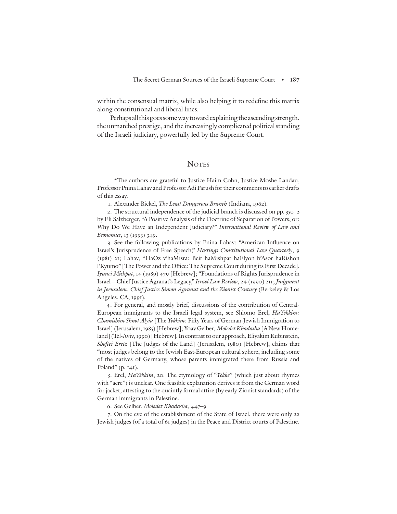within the consensual matrix, while also helping it to redefine this matrix along constitutional and liberal lines.

Perhaps all this goes some way toward explaining the ascending strength, the unmatched prestige, and the increasingly complicated political standing of the Israeli judiciary, powerfully led by the Supreme Court.

## **NOTES**

\*The authors are grateful to Justice Haim Cohn, Justice Moshe Landau, Professor Pnina Lahav and Professor Adi Parush for their comments to earlier drafts of this essay.

1. Alexander Bickel, The Least Dangerous Branch (Indiana, 1962).

2. The structural independence of the judicial branch is discussed on pp. 350–2 by Eli Salzberger, "A Positive Analysis of the Doctrine of Separation of Powers, or: Why Do We Have an Independent Judiciary?" International Review of Law and Economics, 13 (1993) 349.

3. See the following publications by Pnina Lahav: "American Influence on Israel's Jurisprudence of Free Speech," Hastings Constitutional Law Quarterly, 9 (1981) 21; Lahav, "HaOz v'haMisra: Beit haMishpat haElyon b'Asor haRishon l'Kyumo" [The Power and the Office: The Supreme Court during its First Decade], Iyunei Mishpat, 14 (1989) 479 [Hebrew]; "Foundations of Rights Jurisprudence in Israel—Chief Justice Agranat's Legacy," Israel Law Review, 24 (1990) 211; Judgment in Jerusalem: Chief Justice Simon Agranat and the Zionist Century (Berkeley & Los Angeles, CA, 1991).

4. For general, and mostly brief, discussions of the contribution of Central-European immigrants to the Israeli legal system, see Shlomo Erel, HaYekkim: Chamishim Shnot Alyia [The Yekkim: Fifty Years of German-Jewish Immigration to Israel] (Jerusalem, 1985) [Hebrew]; Yoav Gelber, Moledet Khadasha [A New Homeland] (Tel-Aviv, 1990) [Hebrew]. In contrast to our approach, Eliyakim Rubinstein, Shoftei Eretz [The Judges of the Land] (Jerusalem, 1980) [Hebrew], claims that "most judges belong to the Jewish East-European cultural sphere, including some of the natives of Germany, whose parents immigrated there from Russia and Poland" (p. 141).

5. Erel, HaYekkim, 20. The etymology of "Yekke" (which just about rhymes with "acre") is unclear. One feasible explanation derives it from the German word for jacket, attesting to the quaintly formal attire (by early Zionist standards) of the German immigrants in Palestine.

6. See Gelber, Moledet Khadasha, 447–9

7. On the eve of the establishment of the State of Israel, there were only 22 Jewish judges (of a total of 61 judges) in the Peace and District courts of Palestine.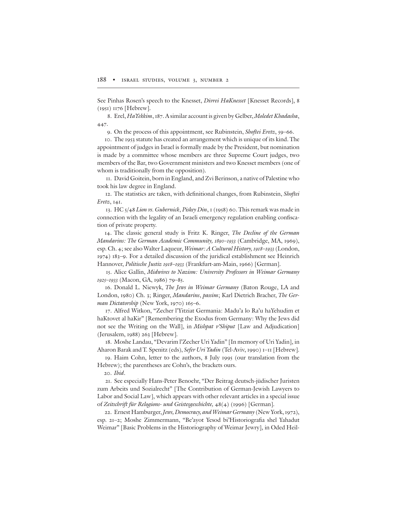See Pinhas Rosen's speech to the Knesset, *Divrei HaKnesset* [Knesset Records], 8 (1951) 1176 [Hebrew].

8. Erel, HaYekkim, 187. A similar account is given by Gelber, Moledet Khadasha, 447.

9. On the process of this appointment, see Rubinstein, *Shoftei Eretz*, 59–66.

10. The 1953 statute has created an arrangement which is unique of its kind. The appointment of judges in Israel is formally made by the President, but nomination is made by a committee whose members are three Supreme Court judges, two members of the Bar, two Government ministers and two Knesset members (one of whom is traditionally from the opposition).

11. David Goitein, born in England, and Zvi Berinson, a native of Palestine who took his law degree in England.

12. The statistics are taken, with definitional changes, from Rubinstein, Shoftei Eretz, 141.

13. HC  $5/48$  Lion vs. Gubernick, Piskey Din, 1 (1958) 60. This remark was made in connection with the legality of an Israeli emergency regulation enabling confiscation of private property.

14. The classic general study is Fritz K. Ringer, The Decline of the German Mandarins: The German Academic Community, 1890–1933 (Cambridge, MA, 1969), esp. Ch. 4; see also Walter Laqueur, Weimar: A Cultural History, 1918–1933 (London, 1974) 183–9. For a detailed discussion of the juridical establishment see Heinrich Hannover, Politische Justiz 1918–1933 (Frankfurt-am-Main, 1966) [German].

15. Alice Gallin, Midwives to Nazism: University Professors in Weimar Germany 1925–1933 (Macon, GA, 1986) 79–85.

16. Donald L. Niewyk, The Jews in Weimar Germany (Baton Rouge, LA and London, 1980) Ch. 3; Ringer, Mandarins, passim; Karl Dietrich Bracher, The German Dictatorship (New York, 1970) 165-6.

17. Alfred Witkon, "Zecher l'Yitziat Germania: Madu'a lo Ra'u haYehudim et haKtovet al haKir" [Remembering the Exodus from Germany: Why the Jews did not see the Writing on the Wall], in Mishpat v'Shiput [Law and Adjudication] (Jerusalem, 1988) 263 [Hebrew].

18. Moshe Landau, "Devarim l'Zecher Uri Yadin" [In memory of Uri Yadin], in Aharon Barak and T. Spenitz (eds), Sefer Uri Yadin (Tel-Aviv, 1990) 1-11 [Hebrew].

19. Haim Cohn, letter to the authors, 8 July 1995 (our translation from the Hebrew); the parentheses are Cohn's, the brackets ours.

20. Ibid.

21. See especially Hans-Peter Benoehr, "Der Beitrag deutsch-jüdischer Juristen zum Arbeits und Sozialrecht" [The Contribution of German-Jewish Lawyers to Labor and Social Law], which appears with other relevant articles in a special issue of Zeitschrift für Relogions- und Geistesgeschichte, 48(4) (1996) [German].

22. Ernest Hamburger, Jews, Democracy, and Weimar Germany (New York, 1972), esp. 21-2; Moshe Zimmermann, "Be'ayot Yesod bi'Historiografia shel Yahadut Weimar" [Basic Problems in the Historiography of Weimar Jewry], in Oded Heil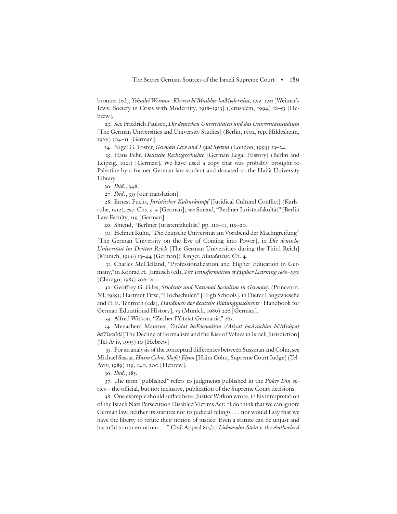bronner (ed), *Yehudei Weimar: Khevra bi'Mashber haModerniut*, 1918–1933 [Weimar's Jews: Society in Crisis with Modernity, 1918–1933] (Jerusalem, 1994) 18–53 [Hebrew].

23. See Friedrich Paulsen, Die deutschen Universitäten und das Universitätsstudium [The German Universities and University Studies] (Berlin, 1902, rep. Hildesheim, 1966) 504–11 [German].

24. Nigel G. Foster, German Law and Legal System (London, 1993) 23–24.

25. Hans Fehr, *Deutsche Rechtsgeschichte* [German Legal History] (Berlin and Leipzig, 1921) [German]. We have used a copy that was probably brought to Palestine by a former German law student and donated to the Haifa University Library.

26. Ibid., 348.

27. Ibid., 355 [our translation].

28. Ernest Fuchs, Juristischer Kulturkampf [Juridical Cultural Conflict] (Karlsruhe, 1912), esp. Chs. 3–4 [German]; see Smend, "Berliner Juristenfakultät" [Berlin Law Faculty, 119 [German].

29. Smend, "Berliner Juristenfakultät," pp. 110–11, 119–20.

30. Helmut Kuhn, "Die deutsche Universität am Vorabend der Machtgreifung" [The German University on the Eve of Coming into Power], in Die deutsche Universität im Dritten Reich [The German Universities during the Third Reich] (Munich, 1966) 13–44 [German]; Ringer, Mandarins, Ch. 4.

31. Charles McClelland, "Professionalization and Higher Education in Germany," in Konrad H. Jarausch (ed), The Transformation of Higher Learning 1860-1930 (Chicago, 1983) 306–20.

32. Geoffrey G. Giles, Students and National Socialism in Germany (Princeton, NJ, 1985); Hartmut Titze, "Hochschulen" [High Schools], in Dieter Langewiesche and H.E. Tentroth (eds), Handbuch der deutsche Bildungsgeschichte [Handbook for German Educational History], v5 (Munich, 1989) 226 [German].

33. Alfred Witkon, "Zecher l'Yitziat Germania," 265.

34. Menachem Mautner, Yeridat haFormalism v'Aliyat haArachim bi'Mishpat haYisra'eli [The Decline of Formalism and the Rise of Values in Israeli Jurisdiction] (Tel-Aviv, 1993) 10 [Hebrew]

35. For an analysis of the conceptual differences between Sussman and Cohn, see Michael Sassar, Haim Cohn, Shofet Elyon [Haim Cohn, Supreme Court Judge] (Tel-Aviv, 1989) 119, 140, 200 [Hebrew].

36. Ibid., 185.

37. The term "published" refers to judgments published in the Piskey Din series—the official, but not inclusive, publication of the Supreme Court decisions.

38. One example should suffice here: Justice Witkon wrote, in his interpretation of the Israeli Nazi Persecution Disabled Victims Act: "I do think that we can ignore German law, neither its statutes nor its judicial rulings . . . nor would I say that we have the liberty to refute their notion of justice. Even a statute can be unjust and harmful to our emotions . . ." Civil Appeal 815/77 Liebensohn-Stein v. the Authorized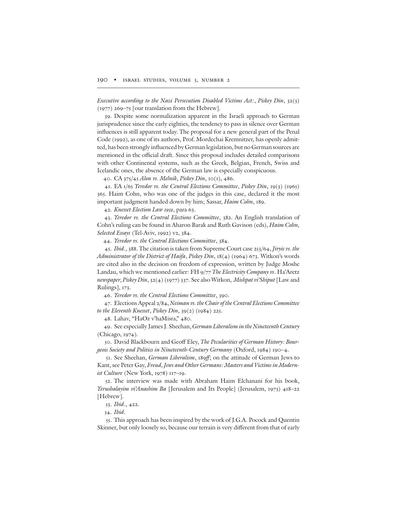Executive according to the Nazi Persecution Disabled Victims Act:, Piskey Din, 32(3) (1977) 269–75 [our translation from the Hebrew].

39. Despite some normalization apparent in the Israeli approach to German jurisprudence since the early eighties, the tendency to pass in silence over German influences is still apparent today. The proposal for a new general part of the Penal Code (1992), as one of its authors, Prof. Mordechai Kremnitzer, has openly admitted, has been strongly influenced by German legislation, but no German sources are mentioned in the official draft. Since this proposal includes detailed comparisons with other Continental systems, such as the Greek, Belgian, French, Swiss and Icelandic ones, the absence of the German law is especially conspicuous.

40. CA 375/45 Alon vs. Melnik, Piskey Din, 10(1), 486.

41. EA 1/65 Yeredor vs. the Central Elections Committee, Piskey Din, 19(3) (1965) 365. Haim Cohn, who was one of the judges in this case, declared it the most important judgment handed down by him; Sassar, Haim Cohn, 189.

42. Knesset Election Law 1959, para 63.

43. Yeredor vs. the Central Elections Committee, 382. An English translation of Cohn's ruling can be found in Aharon Barak and Ruth Gavison (eds), Haim Cohn, Selected Essays (Tel-Aviv, 1992) v2, 384.

44. Yeredor vs. the Central Elections Committee, 384.

45. Ibid., 388. The citation is taken from Supreme Court case 253/64, Jiryis vs. the Administrator of the District of Haifa, Piskey Din, 18(4) (1964) 673. Witkon's words are cited also in the decision on freedom of expression, written by Judge Moshe Landau, which we mentioned earlier: FH 9/77 The Electricity Company vs. Ha'Aretz newspaper, Piskey Din, 32(4) (1977) 337. See also Witkon, Mishpat vi'Shiput [Law and Rulings], 173.

46. Yeredor vs. the Central Elections Committee, 390.

47. Elections Appeal 2/84, Neiman vs. the Chairof the Central Elections Committee to the Eleventh Knesset, Piskey Din, 39(2) (1984) 225.

48. Lahav, "HaOz v'haMisra," 480.

49. See especially James J. Sheehan, German Liberalism in the Nineteenth Century (Chicago, 1974).

50. David Blackbourn and Geoff Eley, The Pecularities of German History: Bourgeois Society and Politics in Nineteenth-Century Germany (Oxford, 1984) 190–4.

51. See Sheehan, German Liberalism, 189ff; on the attitude of German Jews to Kant, see Peter Gay, Freud, Jews and Other Germans: Masters and Victims in Modernist Culture (New York, 1978) 117–19.

52. The interview was made with Abraham Haim Elchanani for his book, Yerushalayim vi'Anashim Ba [Jerusalem and Its People] (Jerusalem, 1973) 418–22 [Hebrew].

53. Ibid., 422.

54. Ibid.

55. This approach has been inspired by the work of J.G.A. Pocock and Quentin Skinner, but only loosely so, because our terrain is very different from that of early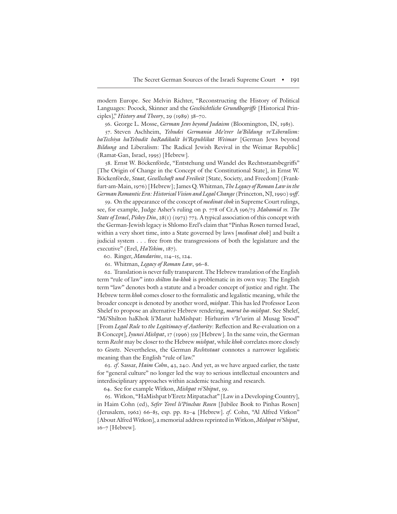modern Europe. See Melvin Richter, "Reconstructing the History of Political Languages: Pocock, Skinner and the Geschichtliche Grundbegriffe [Historical Principles]," History and Theory, 29  $(1989)$  38–70.

56. George L. Mosse, German Jews beyond Judaism (Bloomington, IN, 1985).

57. Steven Aschheim, Yehudei Germania Me'ever la'Bildung ve'Liberalism: haTechiya haYehudit haRadikalit bi'Republikat Weimar [German Jews beyond Bildung and Liberalism: The Radical Jewish Revival in the Weimar Republic] (Ramat-Gan, Israel, 1995) [Hebrew].

58. Ernst W. Böckenförde, "Entstehung und Wandel des Rechtsstaatsbegriffs" [The Origin of Change in the Concept of the Constitutional State], in Ernst W. Böckenförde, Staat, Gesellschaft und Freiheit [State, Society, and Freedom] (Frankfurt-am-Main, 1976) [Hebrew]; James Q. Whitman, The Legacy of Roman Law in the German Romantic Era: Historical Vision and Legal Change (Princeton, NJ, 1990) 95ff.

59. On the appearance of the concept of *medinat chok* in Supreme Court rulings, see, for example, Judge Asher's ruling on p. 778 of Cr.A 596/73 Mahamid vs. The State of Israel, Piskey Din, 28(1) (1973) 773. A typical association of this concept with the German-Jewish legacy is Shlomo Erel's claim that "Pinhas Rosen turned Israel, within a very short time, into a State governed by laws [medinat chok] and built a judicial system . . . free from the transgressions of both the legislature and the executive" (Erel, HaYekim, 187).

60. Ringer, Mandarins, 114–15, 124.

61. Whitman, Legacy of Roman Law, 96–8.

62. Translation is never fully transparent.The Hebrew translation of the English term "rule of law" into *shilton ha-khok* is problematic in its own way. The English term "law" denotes both a statute and a broader concept of justice and right. The Hebrew term khok comes closer to the formalistic and legalistic meaning, while the broader concept is denoted by another word, *mishpat*. This has led Professor Leon Shelef to propose an alternative Hebrew rendering, marut ha-mishpat. See Shelef, "Mi'Shilton haKhok li'Marut haMishpat: Hirhurim v'Ir'urim al Musag Yesod" [From Legal Rule to the Legitimacy of Authority: Reflection and Re-evaluation on a B Concept], Iyunei Mishpat, 17 (1996) 559 [Hebrew]. In the same vein, the German term Recht may be closer to the Hebrew mishpat, while khok correlates more closely to Gesetz. Nevertheless, the German Rechtsstaat connotes a narrower legalistic meaning than the English "rule of law."

63. cf. Sassar, Haim Cohn, 43, 240. And yet, as we have argued earlier, the taste for "general culture" no longer led the way to serious intellectual encounters and interdisciplinary approaches within academic teaching and research.

64. See for example Witkon, Mishpat vi'Shiput, 59.

65. Witkon, "HaMishpat b'Eretz Mitpatachat" [Law in a Developing Country], in Haim Cohn (ed), Sefer Yovel li'Pinchas Rosen [Jubilee Book to Pinhas Rosen] (Jerusalem, 1962) 66–85, esp. pp. 82–4 [Hebrew]. cf. Cohn, "Al Alfred Vitkon" [About Alfred Witkon], a memorial address reprinted in Witkon, Mishpat vi'Shiput, 16–7 [Hebrew].